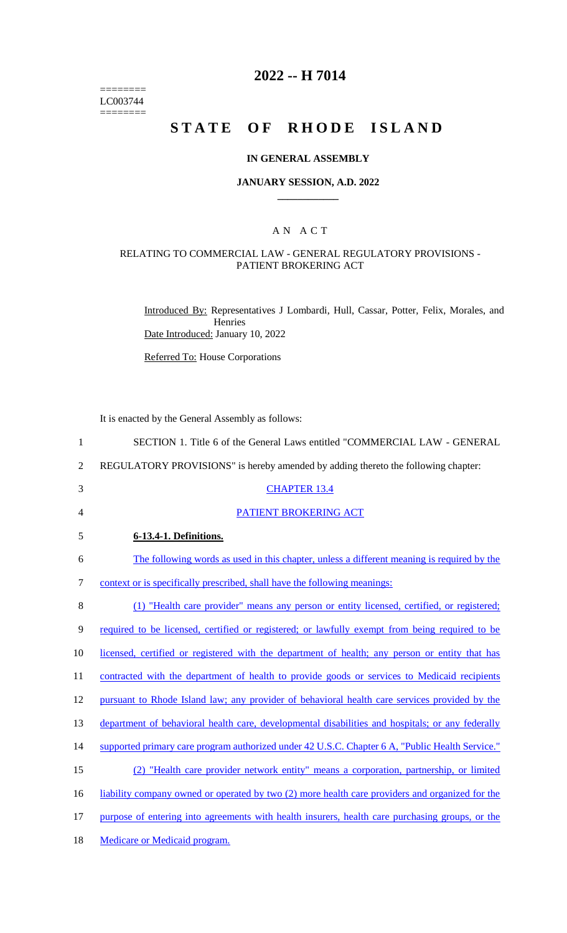======== LC003744  $=$ 

# **2022 -- H 7014**

# **STATE OF RHODE ISLAND**

### **IN GENERAL ASSEMBLY**

#### **JANUARY SESSION, A.D. 2022 \_\_\_\_\_\_\_\_\_\_\_\_**

#### A N A C T

#### RELATING TO COMMERCIAL LAW - GENERAL REGULATORY PROVISIONS - PATIENT BROKERING ACT

Introduced By: Representatives J Lombardi, Hull, Cassar, Potter, Felix, Morales, and Henries Date Introduced: January 10, 2022

Referred To: House Corporations

It is enacted by the General Assembly as follows:

| $\mathbf{1}$   | SECTION 1. Title 6 of the General Laws entitled "COMMERCIAL LAW - GENERAL                        |
|----------------|--------------------------------------------------------------------------------------------------|
| $\overline{2}$ | REGULATORY PROVISIONS" is hereby amended by adding thereto the following chapter:                |
| 3              | <b>CHAPTER 13.4</b>                                                                              |
| 4              | PATIENT BROKERING ACT                                                                            |
| 5              | 6-13.4-1. Definitions.                                                                           |
| 6              | The following words as used in this chapter, unless a different meaning is required by the       |
| 7              | context or is specifically prescribed, shall have the following meanings:                        |
| 8              | (1) "Health care provider" means any person or entity licensed, certified, or registered;        |
| 9              | required to be licensed, certified or registered; or lawfully exempt from being required to be   |
| 10             | licensed, certified or registered with the department of health; any person or entity that has   |
| 11             | contracted with the department of health to provide goods or services to Medicaid recipients     |
| 12             | pursuant to Rhode Island law; any provider of behavioral health care services provided by the    |
| 13             | department of behavioral health care, developmental disabilities and hospitals; or any federally |
| 14             | supported primary care program authorized under 42 U.S.C. Chapter 6 A, "Public Health Service."  |
| 15             | (2) "Health care provider network entity" means a corporation, partnership, or limited           |
| 16             | liability company owned or operated by two (2) more health care providers and organized for the  |
| 17             | purpose of entering into agreements with health insurers, health care purchasing groups, or the  |
| 18             | <b>Medicare or Medicaid program.</b>                                                             |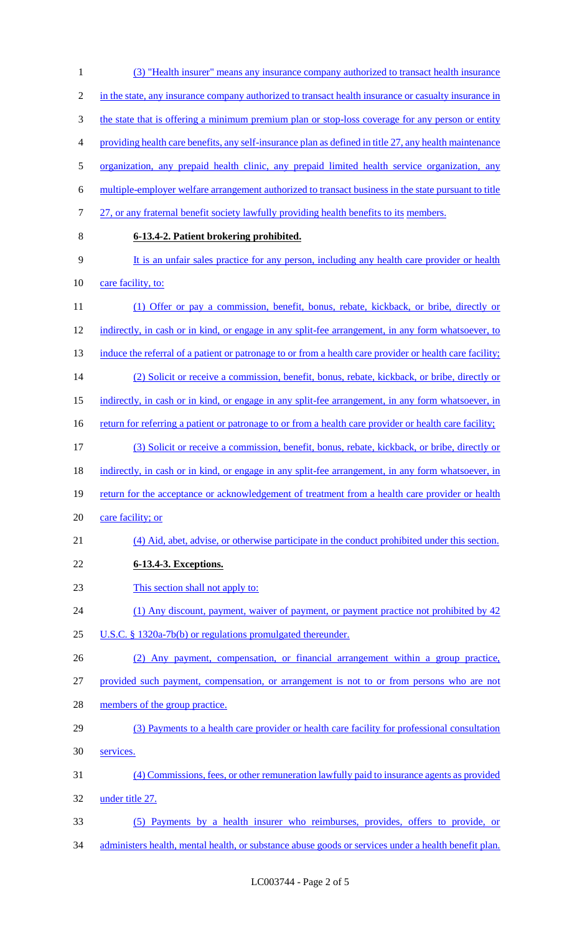(3) "Health insurer" means any insurance company authorized to transact health insurance 2 in the state, any insurance company authorized to transact health insurance or casualty insurance in 3 the state that is offering a minimum premium plan or stop-loss coverage for any person or entity providing health care benefits, any self-insurance plan as defined in title 27, any health maintenance organization, any prepaid health clinic, any prepaid limited health service organization, any multiple-employer welfare arrangement authorized to transact business in the state pursuant to title 7 27, or any fraternal benefit society lawfully providing health benefits to its members. **6-13.4-2. Patient brokering prohibited.** It is an unfair sales practice for any person, including any health care provider or health 10 care facility, to: (1) Offer or pay a commission, benefit, bonus, rebate, kickback, or bribe, directly or indirectly, in cash or in kind, or engage in any split-fee arrangement, in any form whatsoever, to 13 induce the referral of a patient or patronage to or from a health care provider or health care facility; (2) Solicit or receive a commission, benefit, bonus, rebate, kickback, or bribe, directly or indirectly, in cash or in kind, or engage in any split-fee arrangement, in any form whatsoever, in 16 return for referring a patient or patronage to or from a health care provider or health care facility; (3) Solicit or receive a commission, benefit, bonus, rebate, kickback, or bribe, directly or 18 indirectly, in cash or in kind, or engage in any split-fee arrangement, in any form whatsoever, in 19 return for the acceptance or acknowledgement of treatment from a health care provider or health 20 care facility; or (4) Aid, abet, advise, or otherwise participate in the conduct prohibited under this section. **6-13.4-3. Exceptions.** This section shall not apply to: 24 (1) Any discount, payment, waiver of payment, or payment practice not prohibited by 42 U.S.C. § 1320a-7b(b) or regulations promulgated thereunder. (2) Any payment, compensation, or financial arrangement within a group practice, provided such payment, compensation, or arrangement is not to or from persons who are not members of the group practice. (3) Payments to a health care provider or health care facility for professional consultation services. (4) Commissions, fees, or other remuneration lawfully paid to insurance agents as provided under title 27. (5) Payments by a health insurer who reimburses, provides, offers to provide, or 34 administers health, mental health, or substance abuse goods or services under a health benefit plan.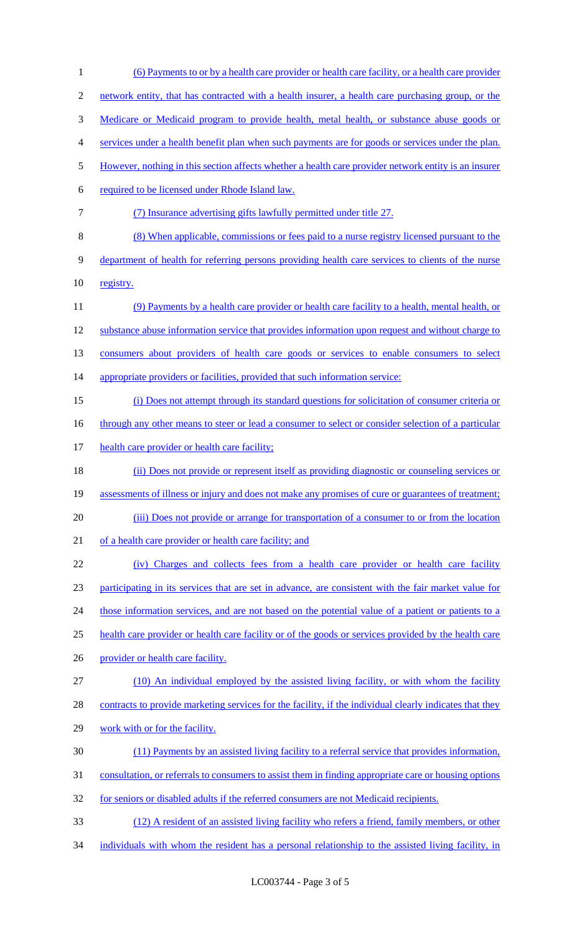(6) Payments to or by a health care provider or health care facility, or a health care provider network entity, that has contracted with a health insurer, a health care purchasing group, or the Medicare or Medicaid program to provide health, metal health, or substance abuse goods or services under a health benefit plan when such payments are for goods or services under the plan. However, nothing in this section affects whether a health care provider network entity is an insurer required to be licensed under Rhode Island law. (7) Insurance advertising gifts lawfully permitted under title 27. (8) When applicable, commissions or fees paid to a nurse registry licensed pursuant to the department of health for referring persons providing health care services to clients of the nurse registry. (9) Payments by a health care provider or health care facility to a health, mental health, or substance abuse information service that provides information upon request and without charge to consumers about providers of health care goods or services to enable consumers to select 14 appropriate providers or facilities, provided that such information service: (i) Does not attempt through its standard questions for solicitation of consumer criteria or 16 through any other means to steer or lead a consumer to select or consider selection of a particular 17 health care provider or health care facility; (ii) Does not provide or represent itself as providing diagnostic or counseling services or assessments of illness or injury and does not make any promises of cure or guarantees of treatment; (iii) Does not provide or arrange for transportation of a consumer to or from the location 21 of a health care provider or health care facility; and (iv) Charges and collects fees from a health care provider or health care facility participating in its services that are set in advance, are consistent with the fair market value for 24 those information services, and are not based on the potential value of a patient or patients to a health care provider or health care facility or of the goods or services provided by the health care 26 provider or health care facility. (10) An individual employed by the assisted living facility, or with whom the facility contracts to provide marketing services for the facility, if the individual clearly indicates that they work with or for the facility. (11) Payments by an assisted living facility to a referral service that provides information, consultation, or referrals to consumers to assist them in finding appropriate care or housing options for seniors or disabled adults if the referred consumers are not Medicaid recipients. (12) A resident of an assisted living facility who refers a friend, family members, or other individuals with whom the resident has a personal relationship to the assisted living facility, in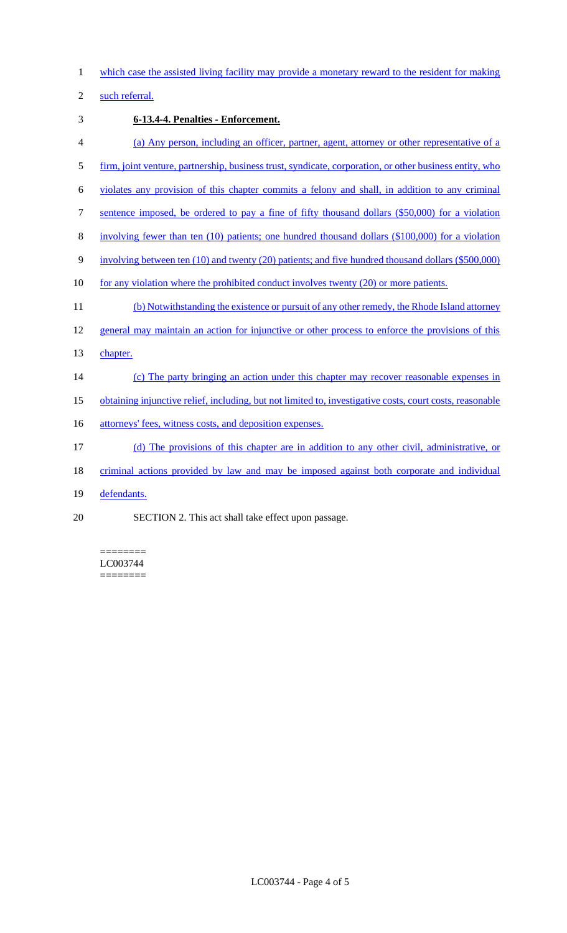which case the assisted living facility may provide a monetary reward to the resident for making

such referral.

- **6-13.4-4. Penalties - Enforcement.**
- (a) Any person, including an officer, partner, agent, attorney or other representative of a
- firm, joint venture, partnership, business trust, syndicate, corporation, or other business entity, who
- violates any provision of this chapter commits a felony and shall, in addition to any criminal
- sentence imposed, be ordered to pay a fine of fifty thousand dollars (\$50,000) for a violation
- involving fewer than ten (10) patients; one hundred thousand dollars (\$100,000) for a violation
- involving between ten (10) and twenty (20) patients; and five hundred thousand dollars (\$500,000)
- for any violation where the prohibited conduct involves twenty (20) or more patients.
- 11 (b) Notwithstanding the existence or pursuit of any other remedy, the Rhode Island attorney
- 12 general may maintain an action for injunctive or other process to enforce the provisions of this
- 13 chapter.
- 14 (c) The party bringing an action under this chapter may recover reasonable expenses in
- obtaining injunctive relief, including, but not limited to, investigative costs, court costs, reasonable
- 16 attorneys' fees, witness costs, and deposition expenses.
- (d) The provisions of this chapter are in addition to any other civil, administrative, or
- criminal actions provided by law and may be imposed against both corporate and individual
- defendants.
- SECTION 2. This act shall take effect upon passage.

======== LC003744 ========